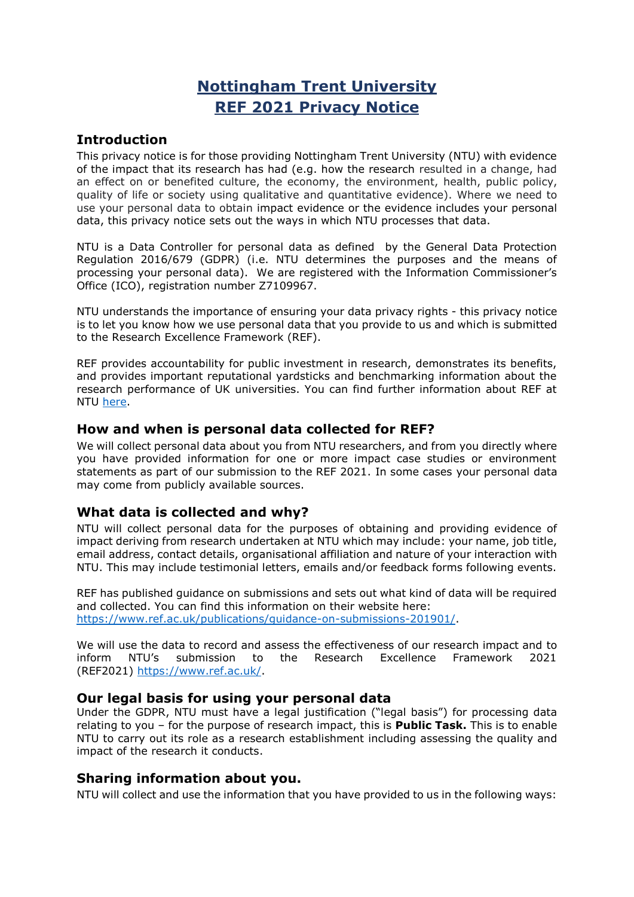# **Nottingham Trent University REF 2021 Privacy Notice**

# **Introduction**

This privacy notice is for those providing Nottingham Trent University (NTU) with evidence of the impact that its research has had (e.g. how the research resulted in a change, had an effect on or benefited culture, the economy, the environment, health, public policy, quality of life or society using qualitative and quantitative evidence). Where we need to use your personal data to obtain impact evidence or the evidence includes your personal data, this privacy notice sets out the ways in which NTU processes that data.

NTU is a Data Controller for personal data as defined by the General Data Protection Regulation 2016/679 (GDPR) (i.e. NTU determines the purposes and the means of processing your personal data). We are registered with the Information Commissioner's Office (ICO), registration number Z7109967.

NTU understands the importance of ensuring your data privacy rights - this privacy notice is to let you know how we use personal data that you provide to us and which is submitted to the Research Excellence Framework (REF).

REF provides accountability for public investment in research, demonstrates its benefits, and provides important reputational yardsticks and benchmarking information about the research performance of UK universities. You can find further information about REF at NTU [here.](https://www.ntu.ac.uk/research/ref-2014)

### **How and when is personal data collected for REF?**

We will collect personal data about you from NTU researchers, and from you directly where you have provided information for one or more impact case studies or environment statements as part of our submission to the REF 2021. In some cases your personal data may come from publicly available sources.

# **What data is collected and why?**

NTU will collect personal data for the purposes of obtaining and providing evidence of impact deriving from research undertaken at NTU which may include: your name, job title, email address, contact details, organisational affiliation and nature of your interaction with NTU. This may include testimonial letters, emails and/or feedback forms following events.

REF has published guidance on submissions and sets out what kind of data will be required and collected. You can find this information on their website here: [https://www.ref.ac.uk/publications/guidance-on-submissions-201901/.](https://www.ref.ac.uk/publications/guidance-on-submissions-201901/)

We will use the data to record and assess the effectiveness of our research impact and to inform NTU's submission to the Research Excellence Framework 2021 (REF2021) [https://www.ref.ac.uk/.](https://www.ref.ac.uk/)

### **Our legal basis for using your personal data**

Under the GDPR, NTU must have a legal justification ("legal basis") for processing data relating to you – for the purpose of research impact, this is **Public Task.** This is to enable NTU to carry out its role as a research establishment including assessing the quality and impact of the research it conducts.

# **Sharing information about you.**

NTU will collect and use the information that you have provided to us in the following ways: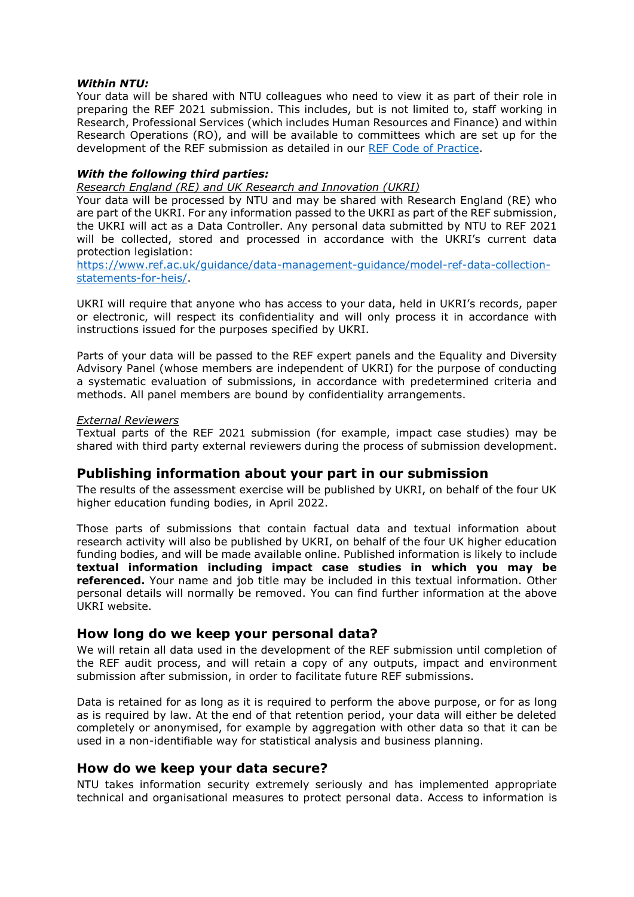#### *Within NTU:*

Your data will be shared with NTU colleagues who need to view it as part of their role in preparing the REF 2021 submission. This includes, but is not limited to, staff working in Research, Professional Services (which includes Human Resources and Finance) and within Research Operations (RO), and will be available to committees which are set up for the development of the REF submission as detailed in our [REF Code of Practice.](https://www.ntu.ac.uk/__data/assets/pdf_file/0031/929209/NTU-REF-2021-CoP-Sep-2020-Update.pdf)

### *With the following third parties:*

*Research England (RE) and UK Research and Innovation (UKRI)*

Your data will be processed by NTU and may be shared with Research England (RE) who are part of the UKRI. For any information passed to the UKRI as part of the REF submission, the UKRI will act as a Data Controller. Any personal data submitted by NTU to REF 2021 will be collected, stored and processed in accordance with the UKRI's current data protection legislation:

[https://www.ref.ac.uk/guidance/data-management-guidance/model-ref-data-collection](https://www.ref.ac.uk/guidance/data-management-guidance/model-ref-data-collection-statements-for-heis/)[statements-for-heis/.](https://www.ref.ac.uk/guidance/data-management-guidance/model-ref-data-collection-statements-for-heis/)

UKRI will require that anyone who has access to your data, held in UKRI's records, paper or electronic, will respect its confidentiality and will only process it in accordance with instructions issued for the purposes specified by UKRI.

Parts of your data will be passed to the REF expert panels and the Equality and Diversity Advisory Panel (whose members are independent of UKRI) for the purpose of conducting a systematic evaluation of submissions, in accordance with predetermined criteria and methods. All panel members are bound by confidentiality arrangements.

#### *External Reviewers*

Textual parts of the REF 2021 submission (for example, impact case studies) may be shared with third party external reviewers during the process of submission development.

### **Publishing information about your part in our submission**

The results of the assessment exercise will be published by UKRI, on behalf of the four UK higher education funding bodies, in April 2022.

Those parts of submissions that contain factual data and textual information about research activity will also be published by UKRI, on behalf of the four UK higher education funding bodies, and will be made available online. Published information is likely to include **textual information including impact case studies in which you may be referenced.** Your name and job title may be included in this textual information. Other personal details will normally be removed. You can find further information at the above UKRI website.

### **How long do we keep your personal data?**

We will retain all data used in the development of the REF submission until completion of the REF audit process, and will retain a copy of any outputs, impact and environment submission after submission, in order to facilitate future REF submissions.

Data is retained for as long as it is required to perform the above purpose, or for as long as is required by law. At the end of that retention period, your data will either be deleted completely or anonymised, for example by aggregation with other data so that it can be used in a non-identifiable way for statistical analysis and business planning.

### **How do we keep your data secure?**

NTU takes information security extremely seriously and has implemented appropriate technical and organisational measures to protect personal data. Access to information is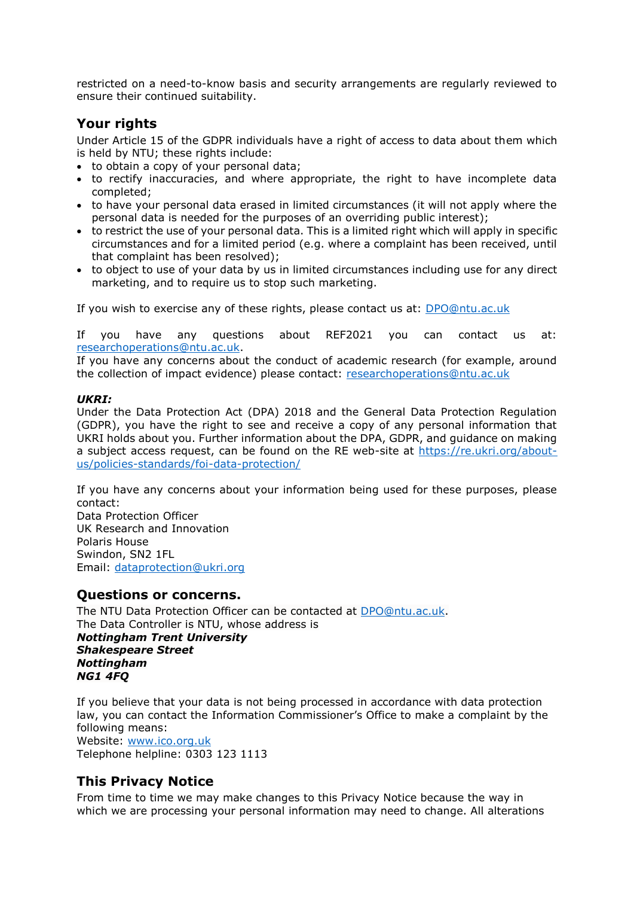restricted on a need-to-know basis and security arrangements are regularly reviewed to ensure their continued suitability.

# **Your rights**

Under Article 15 of the GDPR individuals have a right of access to data about them which is held by NTU; these rights include:

- to obtain a copy of your personal data;
- to rectify inaccuracies, and where appropriate, the right to have incomplete data completed;
- to have your personal data erased in limited circumstances (it will not apply where the personal data is needed for the purposes of an overriding public interest);
- to restrict the use of your personal data. This is a limited right which will apply in specific circumstances and for a limited period (e.g. where a complaint has been received, until that complaint has been resolved);
- to object to use of your data by us in limited circumstances including use for any direct marketing, and to require us to stop such marketing.

If you wish to exercise any of these rights, please contact us at: [DPO@ntu.ac.uk](mailto:DPO@ntu.ac.uk)

If you have any questions about REF2021 you can contact us at: [researchoperations@ntu.ac.uk.](mailto:researchoperations@ntu.ac.uk)

If you have any concerns about the conduct of academic research (for example, around the collection of impact evidence) please contact: [researchoperations@ntu.ac.uk](mailto:researchoperations@ntu.ac.uk?subject=Academic%20research%20at%20NTU)

### *UKRI:*

Under the Data Protection Act (DPA) 2018 and the General Data Protection Regulation (GDPR), you have the right to see and receive a copy of any personal information that UKRI holds about you. Further information about the DPA, GDPR, and guidance on making a subject access request, can be found on the RE web-site at [https://re.ukri.org/about](https://re.ukri.org/about-us/policies-standards/foi-data-protection/)[us/policies-standards/foi-data-protection/](https://re.ukri.org/about-us/policies-standards/foi-data-protection/)

If you have any concerns about your information being used for these purposes, please contact:

Data Protection Officer UK Research and Innovation Polaris House Swindon, SN2 1FL Email: [dataprotection@ukri.org](mailto:dataprotection@ukri.org)

### **Questions or concerns.**

The NTU Data Protection Officer can be contacted at [DPO@ntu.ac.uk.](mailto:DPO@ntu.ac.uk) The Data Controller is NTU, whose address is *Nottingham Trent University Shakespeare Street Nottingham NG1 4FQ*

If you believe that your data is not being processed in accordance with data protection law, you can contact the Information Commissioner's Office to make a complaint by the following means: Website: [www.ico.org.uk](http://www.ico.org.uk/) 

Telephone helpline: 0303 123 1113

# **This Privacy Notice**

From time to time we may make changes to this Privacy Notice because the way in which we are processing your personal information may need to change. All alterations